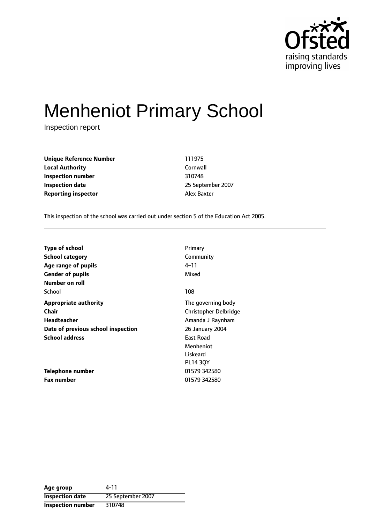

# Menheniot Primary School

Inspection report

**Unique Reference Number** 111975 **Local Authority** Cornwall **Inspection number** 310748 **Inspection date** 2007 **Reporting inspector** Alex Baxter

This inspection of the school was carried out under section 5 of the Education Act 2005.

| <b>Type of school</b><br><b>School category</b> | Primary<br>Community  |
|-------------------------------------------------|-----------------------|
| Age range of pupils                             | 4–11                  |
| <b>Gender of pupils</b>                         | Mixed                 |
| Number on roll                                  |                       |
| School                                          | 108                   |
| <b>Appropriate authority</b>                    | The governing body    |
| Chair                                           | Christopher Delbridge |
| Headteacher                                     | Amanda J Raynham      |
| Date of previous school inspection              | 26 January 2004       |
| <b>School address</b>                           | <b>East Road</b>      |
|                                                 | Menheniot             |
|                                                 | Liskeard              |
|                                                 | <b>PL14 30Y</b>       |
| Telephone number                                | 01579 342580          |
| <b>Fax number</b>                               | 01579 342580          |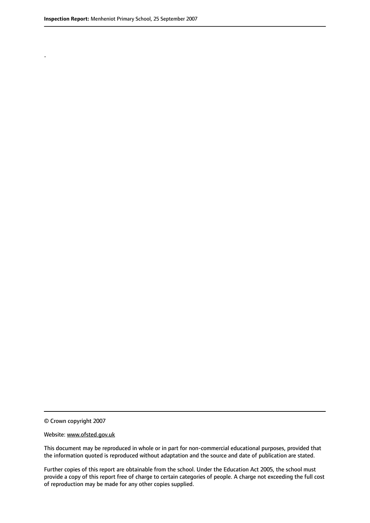.

© Crown copyright 2007

#### Website: www.ofsted.gov.uk

This document may be reproduced in whole or in part for non-commercial educational purposes, provided that the information quoted is reproduced without adaptation and the source and date of publication are stated.

Further copies of this report are obtainable from the school. Under the Education Act 2005, the school must provide a copy of this report free of charge to certain categories of people. A charge not exceeding the full cost of reproduction may be made for any other copies supplied.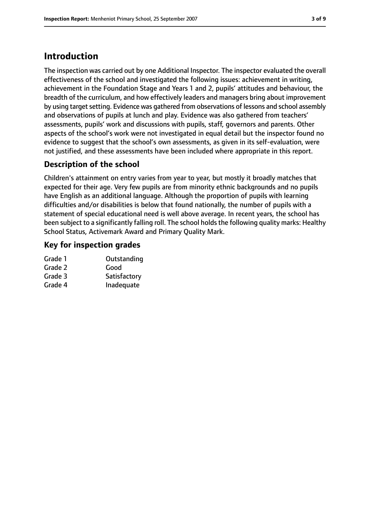# **Introduction**

The inspection was carried out by one Additional Inspector. The inspector evaluated the overall effectiveness of the school and investigated the following issues: achievement in writing, achievement in the Foundation Stage and Years 1 and 2, pupils' attitudes and behaviour, the breadth of the curriculum, and how effectively leaders and managers bring about improvement by using target setting. Evidence was gathered from observations of lessons and school assembly and observations of pupils at lunch and play. Evidence was also gathered from teachers' assessments, pupils' work and discussions with pupils, staff, governors and parents. Other aspects of the school's work were not investigated in equal detail but the inspector found no evidence to suggest that the school's own assessments, as given in its self-evaluation, were not justified, and these assessments have been included where appropriate in this report.

# **Description of the school**

Children's attainment on entry varies from year to year, but mostly it broadly matches that expected for their age. Very few pupils are from minority ethnic backgrounds and no pupils have English as an additional language. Although the proportion of pupils with learning difficulties and/or disabilities is below that found nationally, the number of pupils with a statement of special educational need is well above average. In recent years, the school has been subject to a significantly falling roll. The school holds the following quality marks: Healthy School Status, Activemark Award and Primary Quality Mark.

# **Key for inspection grades**

| Outstanding  |
|--------------|
| Good         |
| Satisfactory |
| Inadequate   |
|              |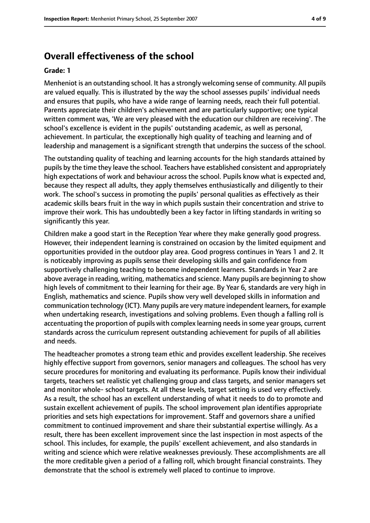# **Overall effectiveness of the school**

#### **Grade: 1**

Menheniot is an outstanding school. It has a strongly welcoming sense of community. All pupils are valued equally. This is illustrated by the way the school assesses pupils' individual needs and ensures that pupils, who have a wide range of learning needs, reach their full potential. Parents appreciate their children's achievement and are particularly supportive; one typical written comment was, 'We are very pleased with the education our children are receiving'. The school's excellence is evident in the pupils' outstanding academic, as well as personal, achievement. In particular, the exceptionally high quality of teaching and learning and of leadership and management is a significant strength that underpins the success of the school.

The outstanding quality of teaching and learning accounts for the high standards attained by pupils by the time they leave the school. Teachers have established consistent and appropriately high expectations of work and behaviour across the school. Pupils know what is expected and, because they respect all adults, they apply themselves enthusiastically and diligently to their work. The school's success in promoting the pupils' personal qualities as effectively as their academic skills bears fruit in the way in which pupils sustain their concentration and strive to improve their work. This has undoubtedly been a key factor in lifting standards in writing so significantly this year.

Children make a good start in the Reception Year where they make generally good progress. However, their independent learning is constrained on occasion by the limited equipment and opportunities provided in the outdoor play area. Good progress continues in Years 1 and 2. It is noticeably improving as pupils sense their developing skills and gain confidence from supportively challenging teaching to become independent learners. Standards in Year 2 are above average in reading, writing, mathematics and science. Many pupils are beginning to show high levels of commitment to their learning for their age. By Year 6, standards are very high in English, mathematics and science. Pupils show very well developed skills in information and communication technology (ICT). Many pupils are very mature independent learners, for example when undertaking research, investigations and solving problems. Even though a falling roll is accentuating the proportion of pupils with complex learning needs in some year groups, current standards across the curriculum represent outstanding achievement for pupils of all abilities and needs.

The headteacher promotes a strong team ethic and provides excellent leadership. She receives highly effective support from governors, senior managers and colleagues. The school has very secure procedures for monitoring and evaluating its performance. Pupils know their individual targets, teachers set realistic yet challenging group and class targets, and senior managers set and monitor whole- school targets. At all these levels, target setting is used very effectively. As a result, the school has an excellent understanding of what it needs to do to promote and sustain excellent achievement of pupils. The school improvement plan identifies appropriate priorities and sets high expectations for improvement. Staff and governors share a unified commitment to continued improvement and share their substantial expertise willingly. As a result, there has been excellent improvement since the last inspection in most aspects of the school. This includes, for example, the pupils' excellent achievement, and also standards in writing and science which were relative weaknesses previously. These accomplishments are all the more creditable given a period of a falling roll, which brought financial constraints. They demonstrate that the school is extremely well placed to continue to improve.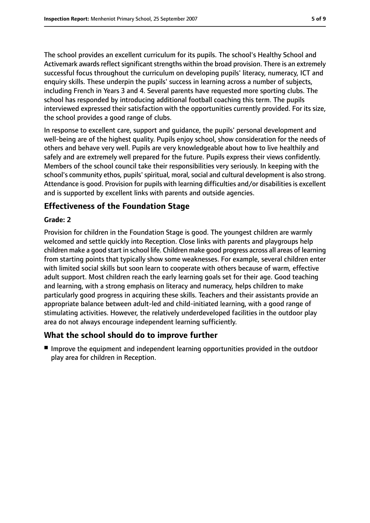The school provides an excellent curriculum for its pupils. The school's Healthy School and Activemark awards reflect significant strengths within the broad provision. There is an extremely successful focus throughout the curriculum on developing pupils' literacy, numeracy, ICT and enquiry skills. These underpin the pupils' success in learning across a number of subjects, including French in Years 3 and 4. Several parents have requested more sporting clubs. The school has responded by introducing additional football coaching this term. The pupils interviewed expressed their satisfaction with the opportunities currently provided. For its size, the school provides a good range of clubs.

In response to excellent care, support and guidance, the pupils' personal development and well-being are of the highest quality. Pupils enjoy school, show consideration for the needs of others and behave very well. Pupils are very knowledgeable about how to live healthily and safely and are extremely well prepared for the future. Pupils express their views confidently. Members of the school council take their responsibilities very seriously. In keeping with the school's community ethos, pupils' spiritual, moral, social and cultural development is also strong. Attendance is good. Provision for pupils with learning difficulties and/or disabilities is excellent and is supported by excellent links with parents and outside agencies.

# **Effectiveness of the Foundation Stage**

### **Grade: 2**

Provision for children in the Foundation Stage is good. The youngest children are warmly welcomed and settle quickly into Reception. Close links with parents and playgroups help children make a good start in school life. Children make good progress across all areas of learning from starting points that typically show some weaknesses. For example, several children enter with limited social skills but soon learn to cooperate with others because of warm, effective adult support. Most children reach the early learning goals set for their age. Good teaching and learning, with a strong emphasis on literacy and numeracy, helps children to make particularly good progress in acquiring these skills. Teachers and their assistants provide an appropriate balance between adult-led and child-initiated learning, with a good range of stimulating activities. However, the relatively underdeveloped facilities in the outdoor play area do not always encourage independent learning sufficiently.

### **What the school should do to improve further**

■ Improve the equipment and independent learning opportunities provided in the outdoor play area for children in Reception.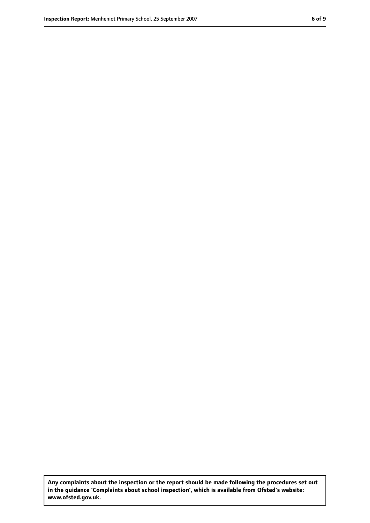**Any complaints about the inspection or the report should be made following the procedures set out in the guidance 'Complaints about school inspection', which is available from Ofsted's website: www.ofsted.gov.uk.**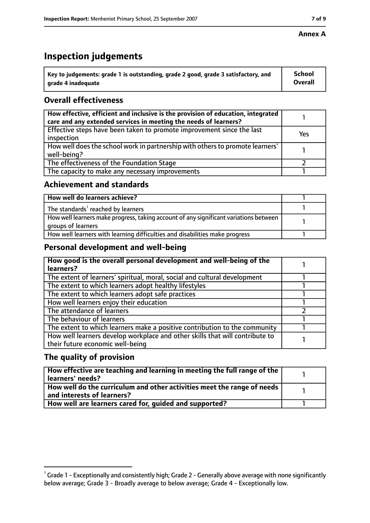### **Annex A**

# **Inspection judgements**

| $^{\backprime}$ Key to judgements: grade 1 is outstanding, grade 2 good, grade 3 satisfactory, and | <b>School</b>  |
|----------------------------------------------------------------------------------------------------|----------------|
| arade 4 inadequate                                                                                 | <b>Overall</b> |

# **Overall effectiveness**

| How effective, efficient and inclusive is the provision of education, integrated<br>care and any extended services in meeting the needs of learners? |     |
|------------------------------------------------------------------------------------------------------------------------------------------------------|-----|
| Effective steps have been taken to promote improvement since the last<br>inspection                                                                  | Yes |
| How well does the school work in partnership with others to promote learners'<br>well-being?                                                         |     |
| The effectiveness of the Foundation Stage                                                                                                            |     |
| The capacity to make any necessary improvements                                                                                                      |     |

# **Achievement and standards**

| How well do learners achieve?                                                                               |  |
|-------------------------------------------------------------------------------------------------------------|--|
| The standards <sup>1</sup> reached by learners                                                              |  |
| How well learners make progress, taking account of any significant variations between<br>groups of learners |  |
| How well learners with learning difficulties and disabilities make progress                                 |  |

# **Personal development and well-being**

| How good is the overall personal development and well-being of the<br>learners?                                  |  |
|------------------------------------------------------------------------------------------------------------------|--|
| The extent of learners' spiritual, moral, social and cultural development                                        |  |
| The extent to which learners adopt healthy lifestyles                                                            |  |
| The extent to which learners adopt safe practices                                                                |  |
| How well learners enjoy their education                                                                          |  |
| The attendance of learners                                                                                       |  |
| The behaviour of learners                                                                                        |  |
| The extent to which learners make a positive contribution to the community                                       |  |
| How well learners develop workplace and other skills that will contribute to<br>their future economic well-being |  |

# **The quality of provision**

| How effective are teaching and learning in meeting the full range of the<br>learners' needs?          |  |
|-------------------------------------------------------------------------------------------------------|--|
| How well do the curriculum and other activities meet the range of needs<br>and interests of learners? |  |
| How well are learners cared for, guided and supported?                                                |  |

 $^1$  Grade 1 - Exceptionally and consistently high; Grade 2 - Generally above average with none significantly below average; Grade 3 - Broadly average to below average; Grade 4 - Exceptionally low.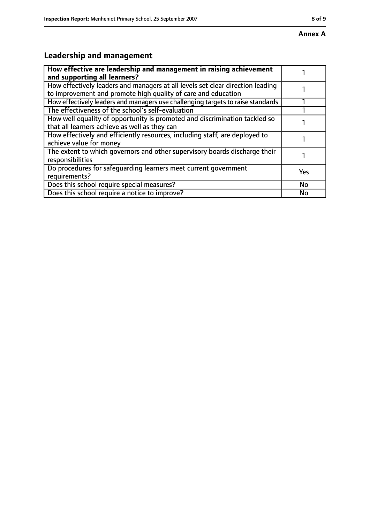#### **Annex A**

# **Leadership and management**

| How effective are leadership and management in raising achievement<br>and supporting all learners?                                              |     |
|-------------------------------------------------------------------------------------------------------------------------------------------------|-----|
| How effectively leaders and managers at all levels set clear direction leading<br>to improvement and promote high quality of care and education |     |
| How effectively leaders and managers use challenging targets to raise standards                                                                 |     |
| The effectiveness of the school's self-evaluation                                                                                               |     |
| How well equality of opportunity is promoted and discrimination tackled so<br>that all learners achieve as well as they can                     |     |
| How effectively and efficiently resources, including staff, are deployed to<br>achieve value for money                                          |     |
| The extent to which governors and other supervisory boards discharge their<br>responsibilities                                                  |     |
| Do procedures for safequarding learners meet current government<br>requirements?                                                                | Yes |
| Does this school require special measures?                                                                                                      | No  |
| Does this school require a notice to improve?                                                                                                   | No  |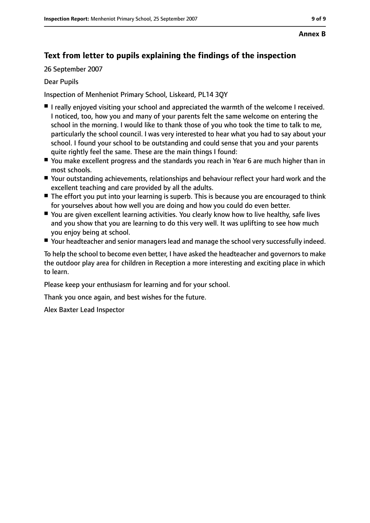# **Text from letter to pupils explaining the findings of the inspection**

26 September 2007

### Dear Pupils

Inspection of Menheniot Primary School, Liskeard, PL14 3QY

- I really enjoved visiting your school and appreciated the warmth of the welcome I received. I noticed, too, how you and many of your parents felt the same welcome on entering the school in the morning. I would like to thank those of you who took the time to talk to me, particularly the school council. I was very interested to hear what you had to say about your school. I found your school to be outstanding and could sense that you and your parents quite rightly feel the same. These are the main things I found:
- You make excellent progress and the standards you reach in Year 6 are much higher than in most schools.
- Your outstanding achievements, relationships and behaviour reflect your hard work and the excellent teaching and care provided by all the adults.
- The effort you put into your learning is superb. This is because you are encouraged to think for yourselves about how well you are doing and how you could do even better.
- You are given excellent learning activities. You clearly know how to live healthy, safe lives and you show that you are learning to do this very well. It was uplifting to see how much you enjoy being at school.
- Your headteacher and senior managers lead and manage the school very successfully indeed.

To help the school to become even better, I have asked the headteacher and governors to make the outdoor play area for children in Reception a more interesting and exciting place in which to learn.

Please keep your enthusiasm for learning and for your school.

Thank you once again, and best wishes for the future.

Alex Baxter Lead Inspector